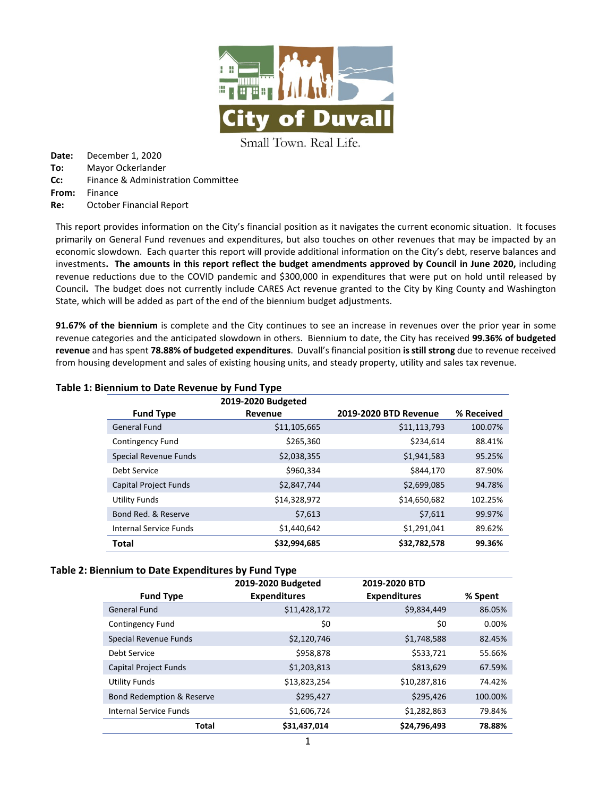

Small Town. Real Life.

**Date:** December 1, 2020 **To:** Mayor Ockerlander **Cc:** Finance & Administration Committee **From:** Finance **Re:** October Financial Report

This report provides information on the City's financial position as it navigates the current economic situation. It focuses primarily on General Fund revenues and expenditures, but also touches on other revenues that may be impacted by an economic slowdown. Each quarter this report will provide additional information on the City's debt, reserve balances and investments**. The amounts in this report reflect the budget amendments approved by Council in June 2020,** including revenue reductions due to the COVID pandemic and \$300,000 in expenditures that were put on hold until released by Council**.** The budget does not currently include CARES Act revenue granted to the City by King County and Washington State, which will be added as part of the end of the biennium budget adjustments.

**91.67% of the biennium** is complete and the City continues to see an increase in revenues over the prior year in some revenue categories and the anticipated slowdown in others. Biennium to date, the City has received **99.36% of budgeted revenue** and has spent **78.88% of budgeted expenditures**. Duvall's financial position **is still strong** due to revenue received from housing development and sales of existing housing units, and steady property, utility and sales tax revenue.

|                              | 2019-2020 Budgeted |                       |            |
|------------------------------|--------------------|-----------------------|------------|
| <b>Fund Type</b>             | Revenue            | 2019-2020 BTD Revenue | % Received |
| <b>General Fund</b>          | \$11,105,665       | \$11,113,793          | 100.07%    |
| Contingency Fund             | \$265,360          | \$234,614             | 88.41%     |
| Special Revenue Funds        | \$2,038,355        | \$1,941,583           | 95.25%     |
| Debt Service                 | \$960.334          | \$844,170             | 87.90%     |
| <b>Capital Project Funds</b> | \$2,847,744        | \$2,699,085           | 94.78%     |
| <b>Utility Funds</b>         | \$14,328,972       | \$14,650,682          | 102.25%    |
| Bond Red. & Reserve          | \$7,613            | \$7,611               | 99.97%     |
| Internal Service Funds       | \$1,440,642        | \$1,291,041           | 89.62%     |
| Total                        | \$32,994,685       | \$32,782,578          | 99.36%     |

### **Table 1: Biennium to Date Revenue by Fund Type**

### **Table 2: Biennium to Date Expenditures by Fund Type**

|                                      | 2019-2020 Budgeted  | 2019-2020 BTD       |         |
|--------------------------------------|---------------------|---------------------|---------|
| <b>Fund Type</b>                     | <b>Expenditures</b> | <b>Expenditures</b> | % Spent |
| <b>General Fund</b>                  | \$11,428,172        | \$9,834,449         | 86.05%  |
| Contingency Fund                     | \$0                 | \$0                 | 0.00%   |
| Special Revenue Funds                | \$2,120,746         | \$1,748,588         | 82.45%  |
| Debt Service                         | \$958,878           | \$533,721           | 55.66%  |
| <b>Capital Project Funds</b>         | \$1,203,813         | \$813,629           | 67.59%  |
| <b>Utility Funds</b>                 | \$13,823,254        | \$10,287,816        | 74.42%  |
| <b>Bond Redemption &amp; Reserve</b> | \$295,427           | \$295,426           | 100.00% |
| <b>Internal Service Funds</b>        | \$1,606,724         | \$1,282,863         | 79.84%  |
| <b>Total</b>                         | \$31,437,014        | \$24,796,493        | 78.88%  |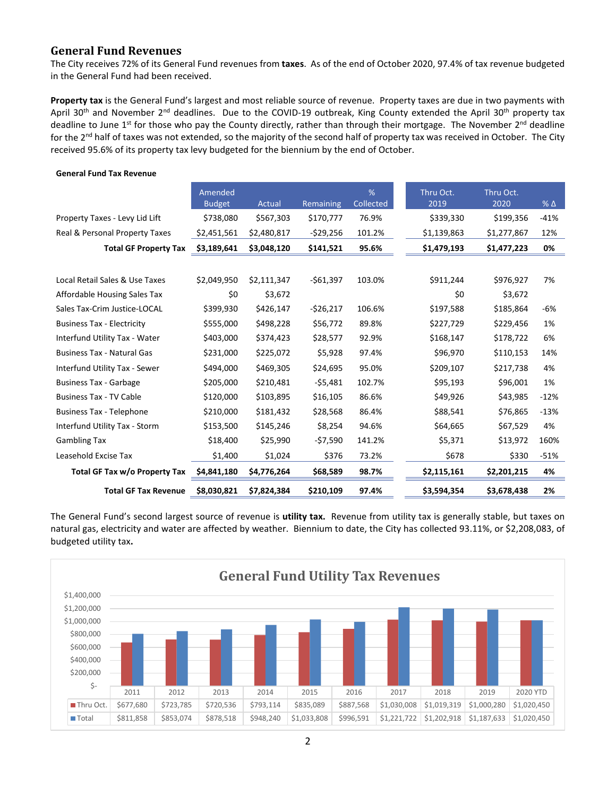# **General Fund Revenues**

The City receives 72% of its General Fund revenues from **taxes**. As of the end of October 2020, 97.4% of tax revenue budgeted in the General Fund had been received.

**Property tax** is the General Fund's largest and most reliable source of revenue. Property taxes are due in two payments with April 30<sup>th</sup> and November 2<sup>nd</sup> deadlines. Due to the COVID-19 outbreak, King County extended the April 30<sup>th</sup> property tax deadline to June  $1^{st}$  for those who pay the County directly, rather than through their mortgage. The November  $2^{nd}$  deadline for the 2nd half of taxes was not extended, so the majority of the second half of property tax was received in October. The City received 95.6% of its property tax levy budgeted for the biennium by the end of October.

|                                   | Amended<br><b>Budget</b> | Actual      | Remaining  | %<br>Collected | Thru Oct.<br>2019 | Thru Oct.<br>2020 | % Δ    |
|-----------------------------------|--------------------------|-------------|------------|----------------|-------------------|-------------------|--------|
| Property Taxes - Levy Lid Lift    | \$738,080                | \$567,303   | \$170,777  | 76.9%          | \$339,330         | \$199,356         | $-41%$ |
| Real & Personal Property Taxes    | \$2,451,561              | \$2,480,817 | $-529,256$ | 101.2%         | \$1,139,863       | \$1,277,867       | 12%    |
| <b>Total GF Property Tax</b>      | \$3,189,641              | \$3,048,120 | \$141,521  | 95.6%          | \$1,479,193       | \$1,477,223       | 0%     |
|                                   |                          |             |            |                |                   |                   |        |
| Local Retail Sales & Use Taxes    | \$2,049,950              | \$2,111,347 | $-561,397$ | 103.0%         | \$911,244         | \$976,927         | 7%     |
| Affordable Housing Sales Tax      | \$0                      | \$3,672     |            |                | \$0               | \$3,672           |        |
| Sales Tax-Crim Justice-LOCAL      | \$399,930                | \$426,147   | $-526,217$ | 106.6%         | \$197,588         | \$185,864         | $-6%$  |
| <b>Business Tax - Electricity</b> | \$555,000                | \$498,228   | \$56,772   | 89.8%          | \$227,729         | \$229,456         | 1%     |
| Interfund Utility Tax - Water     | \$403,000                | \$374,423   | \$28,577   | 92.9%          | \$168,147         | \$178,722         | 6%     |
| <b>Business Tax - Natural Gas</b> | \$231,000                | \$225,072   | \$5,928    | 97.4%          | \$96,970          | \$110,153         | 14%    |
| Interfund Utility Tax - Sewer     | \$494,000                | \$469,305   | \$24,695   | 95.0%          | \$209,107         | \$217,738         | 4%     |
| <b>Business Tax - Garbage</b>     | \$205,000                | \$210,481   | $-55,481$  | 102.7%         | \$95,193          | \$96,001          | 1%     |
| <b>Business Tax - TV Cable</b>    | \$120,000                | \$103,895   | \$16,105   | 86.6%          | \$49,926          | \$43,985          | $-12%$ |
| <b>Business Tax - Telephone</b>   | \$210,000                | \$181,432   | \$28,568   | 86.4%          | \$88,541          | \$76,865          | $-13%$ |
| Interfund Utility Tax - Storm     | \$153,500                | \$145,246   | \$8,254    | 94.6%          | \$64,665          | \$67,529          | 4%     |
| <b>Gambling Tax</b>               | \$18,400                 | \$25,990    | -\$7,590   | 141.2%         | \$5,371           | \$13,972          | 160%   |
| Leasehold Excise Tax              | \$1,400                  | \$1,024     | \$376      | 73.2%          | \$678             | \$330             | $-51%$ |
| Total GF Tax w/o Property Tax     | \$4,841,180              | \$4,776,264 | \$68,589   | 98.7%          | \$2,115,161       | \$2,201,215       | 4%     |
| <b>Total GF Tax Revenue</b>       | \$8,030,821              | \$7,824,384 | \$210,109  | 97.4%          | \$3,594,354       | \$3,678,438       | 2%     |

#### **General Fund Tax Revenue**

The General Fund's second largest source of revenue is **utility tax.** Revenue from utility tax is generally stable, but taxes on natural gas, electricity and water are affected by weather. Biennium to date, the City has collected 93.11%, or \$2,208,083, of budgeted utility tax**.** 

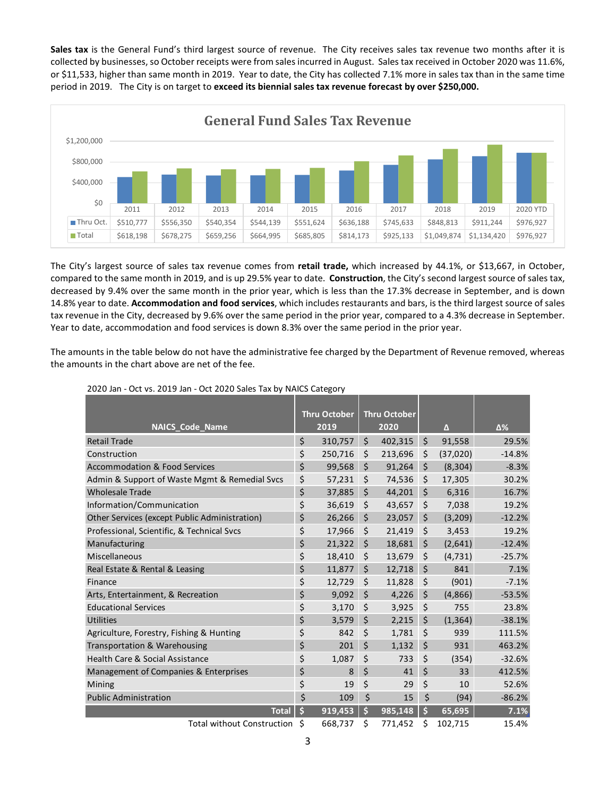**Sales tax** is the General Fund's third largest source of revenue. The City receives sales tax revenue two months after it is collected by businesses, so October receipts were from sales incurred in August. Sales tax received in October 2020 was 11.6%, or \$11,533, higher than same month in 2019. Year to date, the City has collected 7.1% more in sales tax than in the same time period in 2019. The City is on target to **exceed its biennial sales tax revenue forecast by over \$250,000.**



The City's largest source of sales tax revenue comes from **retail trade,** which increased by 44.1%, or \$13,667, in October, compared to the same month in 2019, and is up 29.5% year to date. **Construction**, the City's second largest source of sales tax, decreased by 9.4% over the same month in the prior year, which is less than the 17.3% decrease in September, and is down 14.8% year to date. **Accommodation and food services**, which includes restaurants and bars, is the third largest source of sales tax revenue in the City, decreased by 9.6% over the same period in the prior year, compared to a 4.3% decrease in September. Year to date, accommodation and food services is down 8.3% over the same period in the prior year.

The amounts in the table below do not have the administrative fee charged by the Department of Revenue removed, whereas the amounts in the chart above are net of the fee.

|                                               |    | <b>Thru October</b> | Thru October  |         |          |          |
|-----------------------------------------------|----|---------------------|---------------|---------|----------|----------|
| <b>NAICS Code Name</b>                        |    | 2019                | 2020          |         | $\Delta$ | Δ%       |
| <b>Retail Trade</b>                           | \$ | 310,757             | \$<br>402,315 | \$      | 91.558   | 29.5%    |
| Construction                                  | \$ | 250,716             | \$<br>213,696 | \$      | (37,020) | $-14.8%$ |
| Accommodation & Food Services                 | \$ | 99,568              | \$<br>91,264  | \$      | (8, 304) | $-8.3%$  |
| Admin & Support of Waste Mgmt & Remedial Svcs | \$ | 57,231              | \$<br>74,536  | \$      | 17,305   | 30.2%    |
| <b>Wholesale Trade</b>                        | \$ | 37,885              | \$<br>44,201  | \$      | 6,316    | 16.7%    |
| Information/Communication                     | \$ | 36,619              | \$<br>43,657  | \$      | 7,038    | 19.2%    |
| Other Services (except Public Administration) | \$ | 26,266              | \$<br>23,057  | \$      | (3,209)  | $-12.2%$ |
| Professional, Scientific, & Technical Svcs    | \$ | 17,966              | \$<br>21,419  | \$      | 3,453    | 19.2%    |
| Manufacturing                                 | \$ | 21,322              | \$<br>18,681  | \$      | (2,641)  | $-12.4%$ |
| Miscellaneous                                 | \$ | 18,410              | \$<br>13,679  | \$      | (4, 731) | $-25.7%$ |
| Real Estate & Rental & Leasing                | \$ | 11,877              | \$<br>12,718  | \$      | 841      | 7.1%     |
| Finance                                       | \$ | 12,729              | \$<br>11,828  | $\zeta$ | (901)    | $-7.1%$  |
| Arts, Entertainment, & Recreation             | \$ | 9,092               | \$<br>4,226   | \$      | (4,866)  | $-53.5%$ |
| <b>Educational Services</b>                   | \$ | 3,170               | \$<br>3,925   | \$      | 755      | 23.8%    |
| <b>Utilities</b>                              | \$ | 3,579               | \$<br>2,215   | \$      | (1, 364) | $-38.1%$ |
| Agriculture, Forestry, Fishing & Hunting      | \$ | 842                 | \$<br>1,781   | \$      | 939      | 111.5%   |
| Transportation & Warehousing                  | \$ | 201                 | \$<br>1,132   | \$      | 931      | 463.2%   |
| Health Care & Social Assistance               | \$ | 1,087               | \$<br>733     | \$      | (354)    | $-32.6%$ |
| Management of Companies & Enterprises         | \$ | 8                   | \$<br>41      | \$      | 33       | 412.5%   |
| Mining                                        | \$ | 19                  | \$<br>29      | \$      | 10       | 52.6%    |
| <b>Public Administration</b>                  | \$ | 109                 | \$<br>15      | \$      | (94)     | $-86.2%$ |
| <b>Total</b>                                  | \$ | 919,453             | \$<br>985,148 | \$      | 65,695   | 7.1%     |
| <b>Total without Construction</b>             | Ŝ  | 668,737             | \$<br>771,452 | \$      | 102,715  | 15.4%    |

#### 2020 Jan - Oct vs. 2019 Jan - Oct 2020 Sales Tax by NAICS Category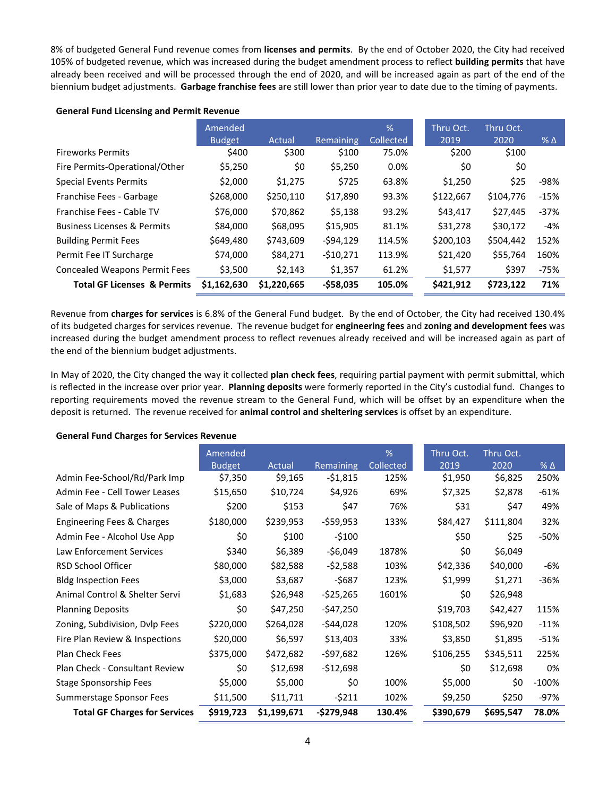8% of budgeted General Fund revenue comes from **licenses and permits**. By the end of October 2020, the City had received 105% of budgeted revenue, which was increased during the budget amendment process to reflect **building permits** that have already been received and will be processed through the end of 2020, and will be increased again as part of the end of the biennium budget adjustments. **Garbage franchise fees** are still lower than prior year to date due to the timing of payments.

#### **General Fund Licensing and Permit Revenue**

|                                        | Amended       |             |                  | $\frac{9}{6}$    | Thru Oct. | Thru Oct. |              |
|----------------------------------------|---------------|-------------|------------------|------------------|-----------|-----------|--------------|
|                                        | <b>Budget</b> | Actual      | <b>Remaining</b> | <b>Collected</b> | 2019      | 2020      | $%$ $\Delta$ |
| <b>Fireworks Permits</b>               | \$400         | \$300       | \$100            | 75.0%            | \$200     | \$100     |              |
| Fire Permits-Operational/Other         | \$5,250       | \$0         | \$5,250          | 0.0%             | \$0       | \$0       |              |
| <b>Special Events Permits</b>          | \$2,000       | \$1,275     | \$725            | 63.8%            | \$1,250   | \$25      | $-98%$       |
| Franchise Fees - Garbage               | \$268,000     | \$250,110   | \$17,890         | 93.3%            | \$122,667 | \$104,776 | $-15%$       |
| Franchise Fees - Cable TV              | \$76,000      | \$70,862    | \$5,138          | 93.2%            | \$43,417  | \$27,445  | $-37%$       |
| <b>Business Licenses &amp; Permits</b> | \$84,000      | \$68,095    | \$15,905         | 81.1%            | \$31,278  | \$30,172  | -4%          |
| <b>Building Permit Fees</b>            | \$649,480     | \$743,609   | $-594,129$       | 114.5%           | \$200,103 | \$504,442 | 152%         |
| Permit Fee IT Surcharge                | \$74,000      | \$84,271    | $-510,271$       | 113.9%           | \$21,420  | \$55,764  | 160%         |
| <b>Concealed Weapons Permit Fees</b>   | \$3,500       | \$2,143     | \$1,357          | 61.2%            | \$1,577   | \$397     | $-75%$       |
| <b>Total GF Licenses &amp; Permits</b> | \$1,162,630   | \$1,220,665 | -\$58,035        | 105.0%           | \$421,912 | \$723,122 | 71%          |

Revenue from **charges for services** is 6.8% of the General Fund budget. By the end of October, the City had received 130.4% of its budgeted charges for services revenue. The revenue budget for **engineering fees** and **zoning and development fees** was increased during the budget amendment process to reflect revenues already received and will be increased again as part of the end of the biennium budget adjustments.

In May of 2020, the City changed the way it collected **plan check fees**, requiring partial payment with permit submittal, which is reflected in the increase over prior year. **Planning deposits** were formerly reported in the City's custodial fund. Changes to reporting requirements moved the revenue stream to the General Fund, which will be offset by an expenditure when the deposit is returned. The revenue received for **animal control and sheltering services** is offset by an expenditure.

#### **General Fund Charges for Services Revenue**

|                                      | Amended       |             |                  | %                | Thru Oct. | Thru Oct. |                 |
|--------------------------------------|---------------|-------------|------------------|------------------|-----------|-----------|-----------------|
|                                      | <b>Budget</b> | Actual      | <b>Remaining</b> | <b>Collected</b> | 2019      | 2020      | $%$ $\triangle$ |
| Admin Fee-School/Rd/Park Imp         | \$7,350       | \$9,165     | $-51,815$        | 125%             | \$1,950   | \$6,825   | 250%            |
| Admin Fee - Cell Tower Leases        | \$15,650      | \$10,724    | \$4,926          | 69%              | \$7,325   | \$2,878   | $-61%$          |
| Sale of Maps & Publications          | \$200         | \$153       | \$47             | 76%              | \$31      | \$47      | 49%             |
| Engineering Fees & Charges           | \$180,000     | \$239,953   | $-$ \$59,953     | 133%             | \$84,427  | \$111,804 | 32%             |
| Admin Fee - Alcohol Use App          | \$0           | \$100       | $-$100$          |                  | \$50      | \$25      | $-50%$          |
| Law Enforcement Services             | \$340         | \$6,389     | -\$6,049         | 1878%            | \$0       | \$6,049   |                 |
| <b>RSD School Officer</b>            | \$80,000      | \$82,588    | $-52,588$        | 103%             | \$42,336  | \$40,000  | -6%             |
| <b>Bldg Inspection Fees</b>          | \$3,000       | \$3,687     | $-5687$          | 123%             | \$1,999   | \$1,271   | $-36%$          |
| Animal Control & Shelter Servi       | \$1,683       | \$26,948    | $-525,265$       | 1601%            | \$0       | \$26,948  |                 |
| <b>Planning Deposits</b>             | \$0           | \$47,250    | -\$47,250        |                  | \$19,703  | \$42,427  | 115%            |
| Zoning, Subdivision, Dylp Fees       | \$220,000     | \$264,028   | -\$44,028        | 120%             | \$108,502 | \$96,920  | $-11%$          |
| Fire Plan Review & Inspections       | \$20,000      | \$6,597     | \$13,403         | 33%              | \$3,850   | \$1,895   | $-51%$          |
| Plan Check Fees                      | \$375,000     | \$472,682   | -\$97,682        | 126%             | \$106,255 | \$345,511 | 225%            |
| Plan Check - Consultant Review       | \$0           | \$12,698    | $-512,698$       |                  | \$0       | \$12,698  | 0%              |
| <b>Stage Sponsorship Fees</b>        | \$5,000       | \$5,000     | \$0              | 100%             | \$5,000   | \$0       | $-100%$         |
| Summerstage Sponsor Fees             | \$11,500      | \$11,711    | $-5211$          | 102%             | \$9,250   | \$250     | $-97%$          |
| <b>Total GF Charges for Services</b> | \$919,723     | \$1,199,671 | $-$279,948$      | 130.4%           | \$390,679 | \$695,547 | 78.0%           |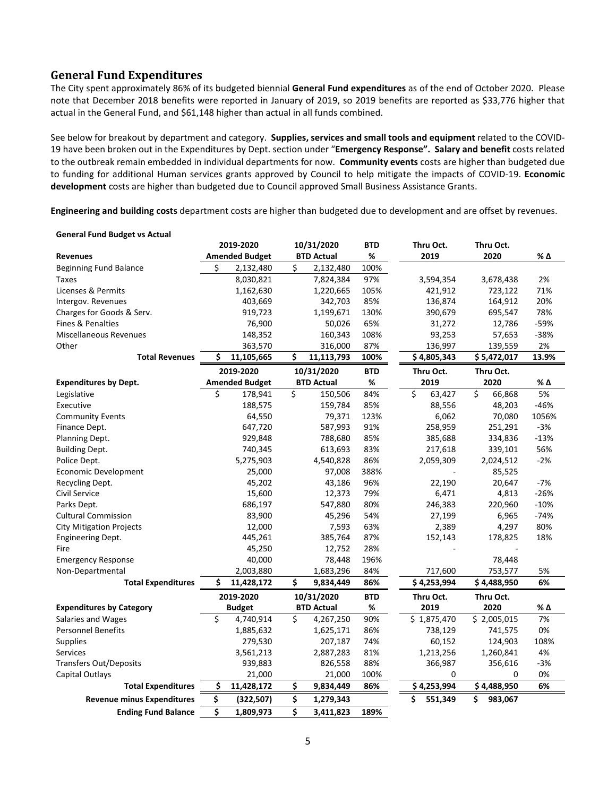# **General Fund Expenditures**

The City spent approximately 86% of its budgeted biennial **General Fund expenditures** as of the end of October 2020. Please note that December 2018 benefits were reported in January of 2019, so 2019 benefits are reported as \$33,776 higher that actual in the General Fund, and \$61,148 higher than actual in all funds combined.

See below for breakout by department and category. **Supplies, services and small tools and equipment** related to the COVID-19 have been broken out in the Expenditures by Dept. section under "**Emergency Response". Salary and benefit** costs related to the outbreak remain embedded in individual departments for now. **Community events** costs are higher than budgeted due to funding for additional Human services grants approved by Council to help mitigate the impacts of COVID-19. **Economic development** costs are higher than budgeted due to Council approved Small Business Assistance Grants.

**Engineering and building costs** department costs are higher than budgeted due to development and are offset by revenues.

| <b>General Fund Budget vs Actual</b> |    |                       |    |                   |            |               |              |        |
|--------------------------------------|----|-----------------------|----|-------------------|------------|---------------|--------------|--------|
|                                      |    | 2019-2020             |    | 10/31/2020        | BTD        | Thru Oct.     | Thru Oct.    |        |
| <b>Revenues</b>                      |    | <b>Amended Budget</b> |    | <b>BTD Actual</b> | %          | 2019          | 2020         | % Δ    |
| <b>Beginning Fund Balance</b>        | Ś  | 2,132,480             | Ś  | 2,132,480         | 100%       |               |              |        |
| <b>Taxes</b>                         |    | 8,030,821             |    | 7,824,384         | 97%        | 3,594,354     | 3,678,438    | 2%     |
| Licenses & Permits                   |    | 1,162,630             |    | 1,220,665         | 105%       | 421,912       | 723,122      | 71%    |
| Intergov. Revenues                   |    | 403,669               |    | 342,703           | 85%        | 136,874       | 164,912      | 20%    |
| Charges for Goods & Serv.            |    | 919,723               |    | 1,199,671         | 130%       | 390,679       | 695,547      | 78%    |
| <b>Fines &amp; Penalties</b>         |    | 76,900                |    | 50,026            | 65%        | 31,272        | 12,786       | $-59%$ |
| <b>Miscellaneous Revenues</b>        |    | 148,352               |    | 160,343           | 108%       | 93,253        | 57,653       | $-38%$ |
| Other                                |    | 363,570               |    | 316,000           | 87%        | 136,997       | 139,559      | 2%     |
| <b>Total Revenues</b>                | Ś  | 11,105,665            | \$ | 11,113,793        | 100%       | \$4,805,343   | \$5,472,017  | 13.9%  |
|                                      |    | 2019-2020             |    | 10/31/2020        | <b>BTD</b> | Thru Oct.     | Thru Oct.    |        |
| <b>Expenditures by Dept.</b>         |    | <b>Amended Budget</b> |    | <b>BTD Actual</b> | %          | 2019          | 2020         | % Δ    |
| Legislative                          | Ś  | 178,941               | \$ | 150,506           | 84%        | \$<br>63,427  | \$<br>66,868 | 5%     |
| Executive                            |    | 188,575               |    | 159,784           | 85%        | 88,556        | 48,203       | $-46%$ |
| <b>Community Events</b>              |    | 64,550                |    | 79,371            | 123%       | 6,062         | 70,080       | 1056%  |
| Finance Dept.                        |    | 647,720               |    | 587,993           | 91%        | 258,959       | 251,291      | $-3%$  |
| Planning Dept.                       |    | 929,848               |    | 788,680           | 85%        | 385,688       | 334,836      | $-13%$ |
| <b>Building Dept.</b>                |    | 740,345               |    | 613,693           | 83%        | 217,618       | 339,101      | 56%    |
| Police Dept.                         |    | 5,275,903             |    | 4,540,828         | 86%        | 2,059,309     | 2,024,512    | $-2%$  |
| Economic Development                 |    | 25,000                |    | 97,008            | 388%       |               | 85,525       |        |
| Recycling Dept.                      |    | 45,202                |    | 43,186            | 96%        | 22,190        | 20,647       | $-7%$  |
| Civil Service                        |    | 15,600                |    | 12,373            | 79%        | 6,471         | 4,813        | $-26%$ |
| Parks Dept.                          |    | 686,197               |    | 547,880           | 80%        | 246,383       | 220,960      | $-10%$ |
| <b>Cultural Commission</b>           |    | 83,900                |    | 45,296            | 54%        | 27,199        | 6,965        | $-74%$ |
| <b>City Mitigation Projects</b>      |    | 12,000                |    | 7,593             | 63%        | 2,389         | 4,297        | 80%    |
| <b>Engineering Dept.</b>             |    | 445,261               |    | 385,764           | 87%        | 152,143       | 178,825      | 18%    |
| Fire                                 |    | 45,250                |    | 12,752            | 28%        |               |              |        |
| <b>Emergency Response</b>            |    | 40,000                |    | 78,448            | 196%       |               | 78,448       |        |
| Non-Departmental                     |    | 2,003,880             |    | 1,683,296         | 84%        | 717,600       | 753,577      | 5%     |
| <b>Total Expenditures</b>            | Ś  | 11,428,172            | Ś. | 9,834,449         | 86%        | \$4,253,994   | \$4,488,950  | 6%     |
|                                      |    | 2019-2020             |    | 10/31/2020        | <b>BTD</b> | Thru Oct.     | Thru Oct.    |        |
| <b>Expenditures by Category</b>      |    | <b>Budget</b>         |    | <b>BTD Actual</b> | $\%$       | 2019          | 2020         | % Δ    |
| Salaries and Wages                   | \$ | 4,740,914             | \$ | 4,267,250         | 90%        | \$1,875,470   | \$2,005,015  | 7%     |
| <b>Personnel Benefits</b>            |    | 1,885,632             |    | 1,625,171         | 86%        | 738,129       | 741,575      | 0%     |
| <b>Supplies</b>                      |    | 279,530               |    | 207,187           | 74%        | 60,152        | 124,903      | 108%   |
| <b>Services</b>                      |    | 3,561,213             |    | 2,887,283         | 81%        | 1,213,256     | 1,260,841    | 4%     |
| <b>Transfers Out/Deposits</b>        |    | 939,883               |    | 826,558           | 88%        | 366,987       | 356,616      | $-3%$  |
| Capital Outlays                      |    | 21,000                |    | 21,000            | 100%       | 0             | 0            | 0%     |
| <b>Total Expenditures</b>            | \$ | 11,428,172            | \$ | 9,834,449         | 86%        | \$4,253,994   | \$4,488,950  | 6%     |
| <b>Revenue minus Expenditures</b>    | \$ | (322, 507)            | \$ | 1,279,343         |            | \$<br>551,349 | Ś<br>983,067 |        |
| <b>Ending Fund Balance</b>           | \$ | 1,809,973             | \$ | 3,411,823         | 189%       |               |              |        |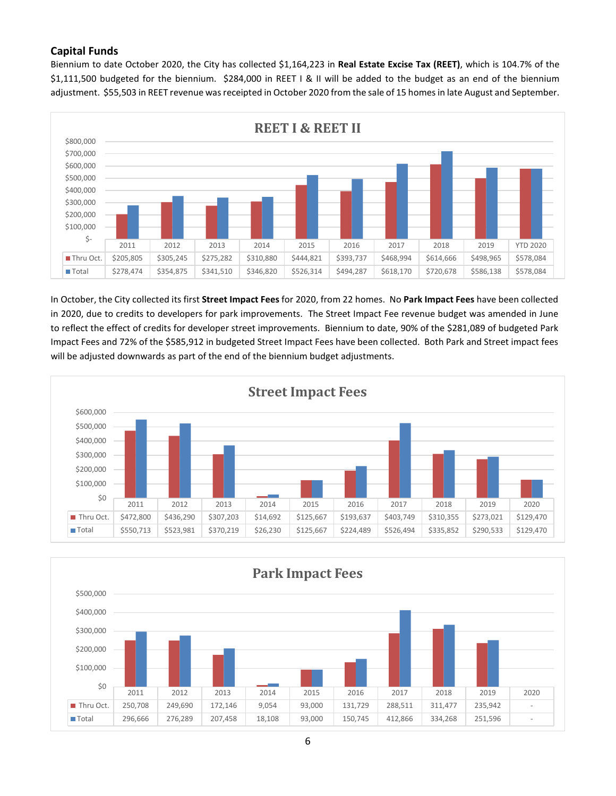# **Capital Funds**

Biennium to date October 2020, the City has collected \$1,164,223 in **Real Estate Excise Tax (REET)**, which is 104.7% of the \$1,111,500 budgeted for the biennium. \$284,000 in REET I & II will be added to the budget as an end of the biennium adjustment. \$55,503 in REET revenue was receipted in October 2020 from the sale of 15 homes in late August and September.



In October, the City collected its first **Street Impact Fees** for 2020, from 22 homes. No **Park Impact Fees** have been collected in 2020, due to credits to developers for park improvements. The Street Impact Fee revenue budget was amended in June to reflect the effect of credits for developer street improvements. Biennium to date, 90% of the \$281,089 of budgeted Park Impact Fees and 72% of the \$585,912 in budgeted Street Impact Fees have been collected. Both Park and Street impact fees will be adjusted downwards as part of the end of the biennium budget adjustments.





6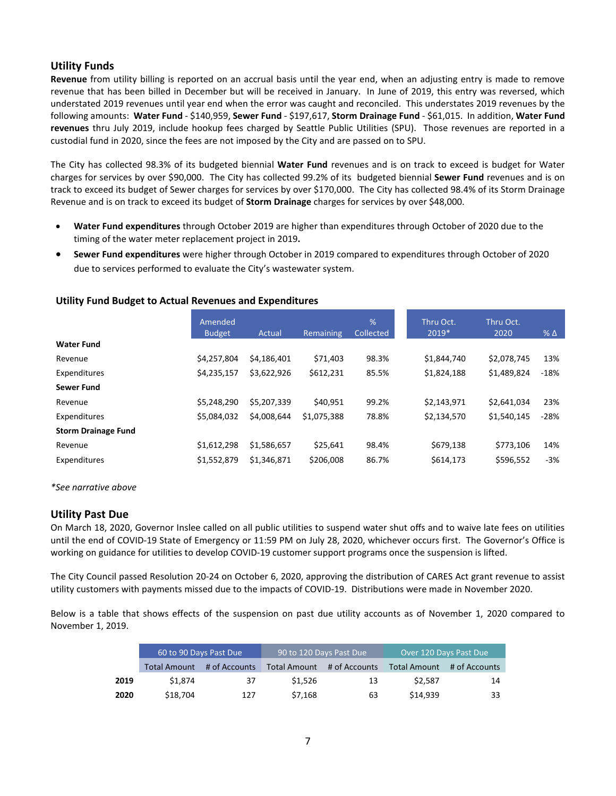# **Utility Funds**

**Revenue** from utility billing is reported on an accrual basis until the year end, when an adjusting entry is made to remove revenue that has been billed in December but will be received in January. In June of 2019, this entry was reversed, which understated 2019 revenues until year end when the error was caught and reconciled. This understates 2019 revenues by the following amounts: **Water Fund** - \$140,959, **Sewer Fund** - \$197,617, **Storm Drainage Fund** - \$61,015. In addition, **Water Fund revenues** thru July 2019, include hookup fees charged by Seattle Public Utilities (SPU). Those revenues are reported in a custodial fund in 2020, since the fees are not imposed by the City and are passed on to SPU.

The City has collected 98.3% of its budgeted biennial **Water Fund** revenues and is on track to exceed is budget for Water charges for services by over \$90,000. The City has collected 99.2% of its budgeted biennial **Sewer Fund** revenues and is on track to exceed its budget of Sewer charges for services by over \$170,000. The City has collected 98.4% of its Storm Drainage Revenue and is on track to exceed its budget of **Storm Drainage** charges for services by over \$48,000.

- **Water Fund expenditures** through October 2019 are higher than expenditures through October of 2020 due to the timing of the water meter replacement project in 2019**.**
- **Sewer Fund expenditures** were higher through October in 2019 compared to expenditures through October of 2020 due to services performed to evaluate the City's wastewater system.

### **Utility Fund Budget to Actual Revenues and Expenditures**

|                            | Amended<br><b>Budget</b> | Actual      | Remaining   | %<br>Collected | Thru Oct.<br>2019* | Thru Oct.<br>2020 | $% \Delta$ |
|----------------------------|--------------------------|-------------|-------------|----------------|--------------------|-------------------|------------|
| <b>Water Fund</b>          |                          |             |             |                |                    |                   |            |
| Revenue                    | \$4,257,804              | \$4,186,401 | \$71,403    | 98.3%          | \$1,844,740        | \$2,078,745       | 13%        |
| Expenditures               | \$4,235,157              | \$3,622,926 | \$612,231   | 85.5%          | \$1,824,188        | \$1,489,824       | $-18%$     |
| <b>Sewer Fund</b>          |                          |             |             |                |                    |                   |            |
| Revenue                    | \$5,248,290              | \$5.207.339 | \$40.951    | 99.2%          | \$2,143,971        | \$2,641,034       | 23%        |
| Expenditures               | \$5.084.032              | \$4,008,644 | \$1,075,388 | 78.8%          | \$2,134,570        | \$1,540,145       | $-28%$     |
| <b>Storm Drainage Fund</b> |                          |             |             |                |                    |                   |            |
| Revenue                    | \$1,612,298              | \$1,586,657 | \$25.641    | 98.4%          | \$679,138          | \$773.106         | 14%        |
| Expenditures               | \$1,552,879              | \$1,346,871 | \$206,008   | 86.7%          | \$614,173          | \$596,552         | $-3%$      |

*\*See narrative above*

### **Utility Past Due**

On March 18, 2020, Governor Inslee called on all public utilities to suspend water shut offs and to waive late fees on utilities until the end of COVID-19 State of Emergency or 11:59 PM on July 28, 2020, whichever occurs first. The Governor's Office is working on guidance for utilities to develop COVID-19 customer support programs once the suspension is lifted.

The City Council passed Resolution 20-24 on October 6, 2020, approving the distribution of CARES Act grant revenue to assist utility customers with payments missed due to the impacts of COVID-19. Distributions were made in November 2020.

Below is a table that shows effects of the suspension on past due utility accounts as of November 1, 2020 compared to November 1, 2019.

|      |                     | 60 to 90 Days Past Due | 90 to 120 Days Past Due |               | Over 120 Days Past Due |               |  |
|------|---------------------|------------------------|-------------------------|---------------|------------------------|---------------|--|
|      | <b>Total Amount</b> | # of Accounts          | <b>Total Amount</b>     | # of Accounts | <b>Total Amount</b>    | # of Accounts |  |
| 2019 | \$1.874             | 37                     | \$1.526                 | 13            | \$2.587                | 14            |  |
| 2020 | \$18,704            | 127                    | \$7,168                 | 63            | \$14.939               | 33            |  |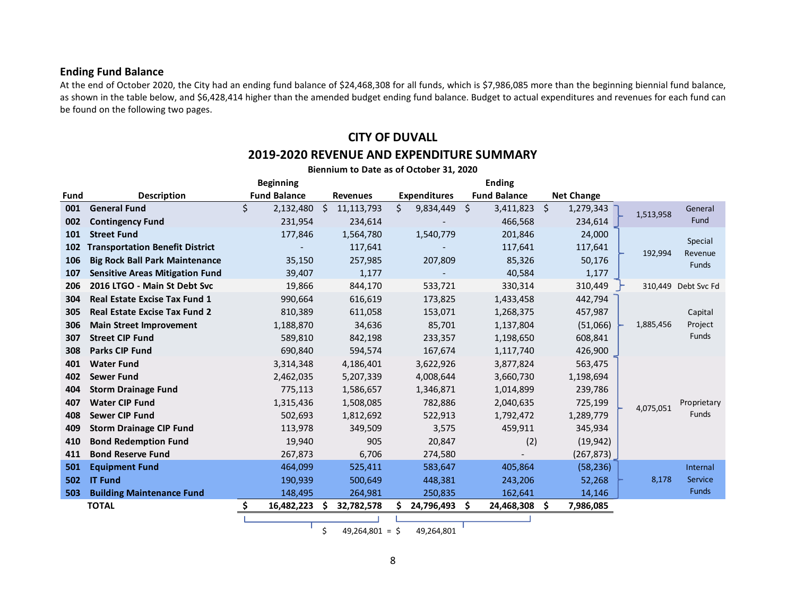### **Ending Fund Balance**

At the end of October 2020, the City had an ending fund balance of \$24,468,308 for all funds, which is \$7,986,085 more than the beginning biennial fund balance, as shown in the table below, and \$6,428,414 higher than the amended budget ending fund balance. Budget to actual expenditures and revenues for each fund can be found on the following two pages.

# **CITY OF DUVALL 2019-2020 REVENUE AND EXPENDITURE SUMMARY**

|      |                                        | <b>Beginning</b>    |                              |                     | <b>Ending</b>       |                   |                          |
|------|----------------------------------------|---------------------|------------------------------|---------------------|---------------------|-------------------|--------------------------|
| Fund | <b>Description</b>                     | <b>Fund Balance</b> | <b>Revenues</b>              | <b>Expenditures</b> | <b>Fund Balance</b> | <b>Net Change</b> |                          |
| 001  | <b>General Fund</b>                    | \$<br>2,132,480     | Ŝ.<br>11,113,793             | \$<br>9,834,449     | -\$<br>3,411,823 \$ | 1,279,343         | General<br>1,513,958     |
| 002  | <b>Contingency Fund</b>                | 231,954             | 234,614                      |                     | 466,568             | 234,614           | Fund                     |
| 101  | <b>Street Fund</b>                     | 177,846             | 1,564,780                    | 1,540,779           | 201,846             | 24,000            | Special                  |
| 102  | <b>Transportation Benefit District</b> |                     | 117,641                      |                     | 117,641             | 117,641           | 192,994<br>Revenue       |
| 106  | <b>Big Rock Ball Park Maintenance</b>  | 35,150              | 257,985                      | 207,809             | 85,326              | 50,176            | <b>Funds</b>             |
| 107  | <b>Sensitive Areas Mitigation Fund</b> | 39,407              | 1,177                        |                     | 40,584              | 1,177             |                          |
| 206  | 2016 LTGO - Main St Debt Svc           | 19,866              | 844,170                      | 533,721             | 330,314             | 310,449           | 310,449 Debt Svc Fd      |
| 304  | <b>Real Estate Excise Tax Fund 1</b>   | 990,664             | 616,619                      | 173,825             | 1,433,458           | 442,794           |                          |
| 305  | <b>Real Estate Excise Tax Fund 2</b>   | 810,389             | 611,058                      | 153,071             | 1,268,375           | 457,987           | Capital                  |
| 306  | <b>Main Street Improvement</b>         | 1,188,870           | 34,636                       | 85,701              | 1,137,804           | (51,066)          | 1,885,456<br>Project     |
| 307  | <b>Street CIP Fund</b>                 | 589,810             | 842,198                      | 233,357             | 1,198,650           | 608,841           | Funds                    |
| 308  | <b>Parks CIP Fund</b>                  | 690,840             | 594,574                      | 167,674             | 1,117,740           | 426,900           |                          |
| 401  | <b>Water Fund</b>                      | 3,314,348           | 4,186,401                    | 3,622,926           | 3,877,824           | 563,475           |                          |
| 402  | <b>Sewer Fund</b>                      | 2,462,035           | 5,207,339                    | 4,008,644           | 3,660,730           | 1,198,694         |                          |
| 404  | <b>Storm Drainage Fund</b>             | 775,113             | 1,586,657                    | 1,346,871           | 1,014,899           | 239,786           |                          |
| 407  | <b>Water CIP Fund</b>                  | 1,315,436           | 1,508,085                    | 782,886             | 2,040,635           | 725,199           | Proprietary<br>4,075,051 |
| 408  | <b>Sewer CIP Fund</b>                  | 502,693             | 1,812,692                    | 522,913             | 1,792,472           | 1,289,779         | Funds                    |
| 409  | <b>Storm Drainage CIP Fund</b>         | 113,978             | 349,509                      | 3,575               | 459,911             | 345,934           |                          |
| 410  | <b>Bond Redemption Fund</b>            | 19,940              | 905                          | 20,847              | (2)                 | (19, 942)         |                          |
| 411  | <b>Bond Reserve Fund</b>               | 267,873             | 6,706                        | 274,580             |                     | (267, 873)        |                          |
| 501  | <b>Equipment Fund</b>                  | 464,099             | 525,411                      | 583,647             | 405,864             | (58, 236)         | Internal                 |
| 502  | <b>IT Fund</b>                         | 190,939             | 500,649                      | 448,381             | 243,206             | 52,268            | 8,178<br>Service         |
| 503  | <b>Building Maintenance Fund</b>       | 148,495             | 264,981                      | 250,835             | 162,641             | 14,146            | <b>Funds</b>             |
|      | <b>TOTAL</b>                           | \$<br>16,482,223    | 32,782,578<br>S              | 24,796,493 \$       | 24,468,308          | 7,986,085<br>S    |                          |
|      |                                        |                     | $\overline{a}$<br>10.251.001 | 10.251.004          |                     |                   |                          |

**Biennium to Date as of October 31, 2020**

 $\frac{1}{2}$  49,264,801 =  $\frac{1}{2}$  49,264,801

8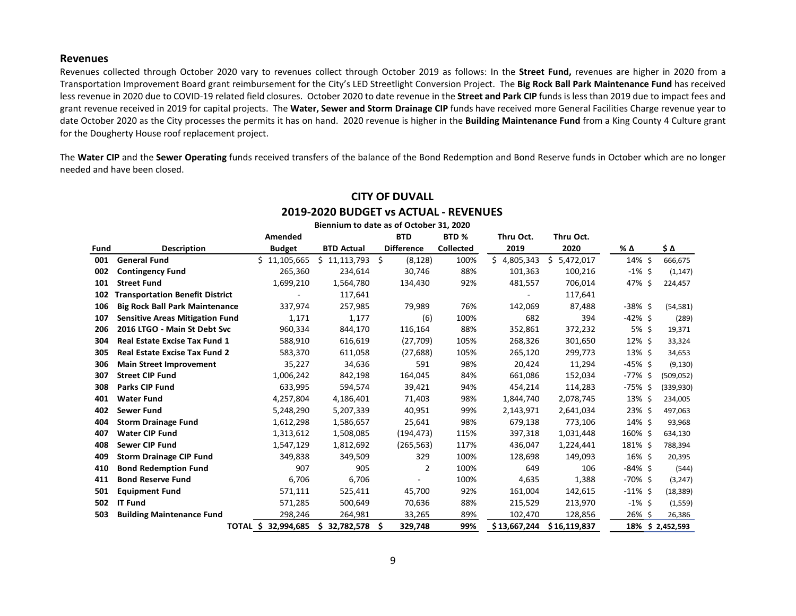#### **Revenues**

Revenues collected through October 2020 vary to revenues collect through October 2019 as follows: In the **Street Fund,** revenues are higher in 2020 from a Transportation Improvement Board grant reimbursement for the City's LED Streetlight Conversion Project. The **Big Rock Ball Park Maintenance Fund** has received less revenue in 2020 due to COVID-19 related field closures. October 2020 to date revenue in the **Street and Park CIP** funds is less than 2019 due to impact fees and grant revenue received in 2019 for capital projects. The **Water, Sewer and Storm Drainage CIP** funds have received more General Facilities Charge revenue year to date October 2020 as the City processes the permits it has on hand. 2020 revenue is higher in the **Building Maintenance Fund** from a King County 4 Culture grant for the Dougherty House roof replacement project.

The **Water CIP** and the **Sewer Operating** funds received transfers of the balance of the Bond Redemption and Bond Reserve funds in October which are no longer needed and have been closed.

|      | 2013-2020 BODGET VS ACTOAL - NEVENOLS  |                        |                   |                                         |                  |              |                |            |                  |
|------|----------------------------------------|------------------------|-------------------|-----------------------------------------|------------------|--------------|----------------|------------|------------------|
|      |                                        |                        |                   | Biennium to date as of October 31, 2020 |                  |              |                |            |                  |
|      |                                        | Amended                |                   | <b>BTD</b>                              | BTD <sub>%</sub> | Thru Oct.    | Thru Oct.      |            |                  |
| Fund | <b>Description</b>                     | <b>Budget</b>          | <b>BTD Actual</b> | <b>Difference</b>                       | <b>Collected</b> | 2019         | 2020           | % Δ        | \$Δ              |
| 001  | <b>General Fund</b>                    | \$11,105,665           | \$11,113,793      | \$<br>(8, 128)                          | 100%             | \$4,805,343  | 5,472,017<br>S | 14% \$     | 666,675          |
| 002  | <b>Contingency Fund</b>                | 265,360                | 234,614           | 30,746                                  | 88%              | 101,363      | 100,216        | $-1\%$ \$  | (1, 147)         |
| 101  | <b>Street Fund</b>                     | 1,699,210              | 1,564,780         | 134,430                                 | 92%              | 481,557      | 706,014        | 47% \$     | 224,457          |
| 102  | <b>Transportation Benefit District</b> |                        | 117,641           |                                         |                  |              | 117,641        |            |                  |
| 106  | <b>Big Rock Ball Park Maintenance</b>  | 337,974                | 257,985           | 79,989                                  | 76%              | 142,069      | 87,488         | $-38\%$ \$ | (54, 581)        |
| 107  | <b>Sensitive Areas Mitigation Fund</b> | 1,171                  | 1,177             | (6)                                     | 100%             | 682          | 394            | $-42\%$ \$ | (289)            |
| 206  | 2016 LTGO - Main St Debt Svc           | 960,334                | 844,170           | 116,164                                 | 88%              | 352,861      | 372,232        | 5% \$      | 19,371           |
| 304  | <b>Real Estate Excise Tax Fund 1</b>   | 588,910                | 616,619           | (27, 709)                               | 105%             | 268,326      | 301,650        | 12% \$     | 33,324           |
| 305  | <b>Real Estate Excise Tax Fund 2</b>   | 583,370                | 611,058           | (27, 688)                               | 105%             | 265,120      | 299,773        | 13% \$     | 34,653           |
| 306  | <b>Main Street Improvement</b>         | 35,227                 | 34,636            | 591                                     | 98%              | 20,424       | 11,294         | $-45\%$ \$ | (9, 130)         |
| 307  | <b>Street CIP Fund</b>                 | 1,006,242              | 842,198           | 164,045                                 | 84%              | 661,086      | 152,034        | -77% \$    | (509, 052)       |
| 308  | <b>Parks CIP Fund</b>                  | 633,995                | 594,574           | 39,421                                  | 94%              | 454,214      | 114,283        | $-75%$ \$  | (339,930)        |
| 401  | <b>Water Fund</b>                      | 4,257,804              | 4,186,401         | 71,403                                  | 98%              | 1,844,740    | 2,078,745      | 13% \$     | 234,005          |
| 402  | <b>Sewer Fund</b>                      | 5,248,290              | 5,207,339         | 40,951                                  | 99%              | 2,143,971    | 2,641,034      | 23% \$     | 497,063          |
| 404  | <b>Storm Drainage Fund</b>             | 1,612,298              | 1,586,657         | 25,641                                  | 98%              | 679,138      | 773,106        | 14% \$     | 93,968           |
| 407  | <b>Water CIP Fund</b>                  | 1,313,612              | 1,508,085         | (194, 473)                              | 115%             | 397,318      | 1,031,448      | 160% \$    | 634,130          |
| 408  | <b>Sewer CIP Fund</b>                  | 1,547,129              | 1,812,692         | (265, 563)                              | 117%             | 436,047      | 1,224,441      | 181% \$    | 788,394          |
| 409  | <b>Storm Drainage CIP Fund</b>         | 349,838                | 349,509           | 329                                     | 100%             | 128,698      | 149,093        | 16% \$     | 20,395           |
| 410  | <b>Bond Redemption Fund</b>            | 907                    | 905               | 2                                       | 100%             | 649          | 106            | $-84\%$ \$ | (544)            |
| 411  | <b>Bond Reserve Fund</b>               | 6,706                  | 6,706             |                                         | 100%             | 4,635        | 1,388          | $-70\%$ \$ | (3,247)          |
| 501  | <b>Equipment Fund</b>                  | 571,111                | 525,411           | 45,700                                  | 92%              | 161,004      | 142,615        | $-11\%$ \$ | (18, 389)        |
| 502  | <b>IT Fund</b>                         | 571,285                | 500,649           | 70,636                                  | 88%              | 215,529      | 213,970        | $-1\%$ \$  | (1,559)          |
| 503  | <b>Building Maintenance Fund</b>       | 298,246                | 264,981           | 33,265                                  | 89%              | 102,470      | 128,856        | 26% \$     | 26,386           |
|      |                                        | TOTAL \$<br>32,994,685 | 32,782,578<br>S   | S<br>329,748                            | 99%              | \$13,667,244 | \$16,119,837   |            | 18% \$ 2,452,593 |

#### **CITY OF DUVALL 2019-2020 BUDGET vs ACTUAL - REVENUES**